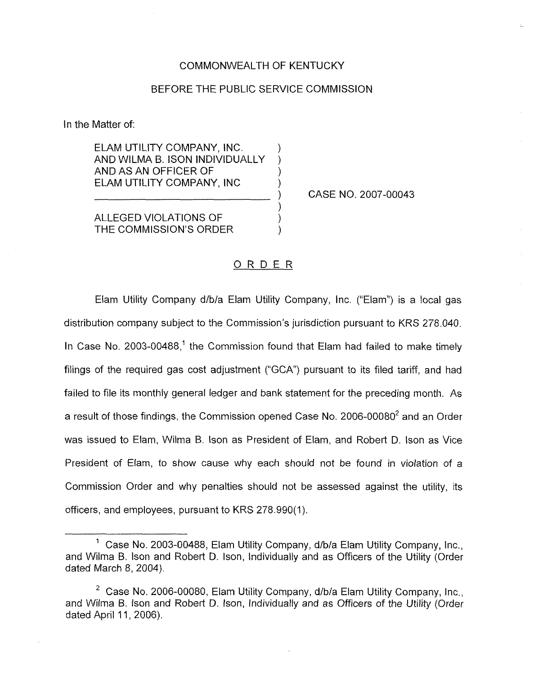#### COMMONWEALTH OF KENTUCKY

### BEFORE THE PUBLIC SERVICE COMMISSION

) ) ) )

) ) )

In the Matter of:

ELAM UTILITY COMPANY, INC. AND WILMA B. ISON INDIVIDUALLY AND AS AN OFFICER OF ELAM UTILITY COMPANY, INC

) CASE NO. 2007-00043

ALLEGED VIOLATIONS OF THE COMMISSION'S ORDER

## ORDER

Elam Utility Company d/b/a Elam Utility Company, Inc. ("Elam") is a local gas distribution company subject to the Commission's jurisdiction pursuant to KRS 278.040. In Case No. 2003-00488.<sup>1</sup> the Commission found that Elam had failed to make timely filings of the required gas cost adjustment ("GCA") pursuant to its filed tariff, and had failed to file its monthiy general ledger and bank statement for the preceding month. As a result of those findings, the Commission opened Case No.  $2006-00080^2$  and an Order was issued to Elam, Wilma B. Ison as President of Elam, and Robert D. Ison as Vice President of Elam, to show cause why each should not be found in violation of a Commission Order and why penalties should not be assessed against the utility, its officers, and employees, pursuant to KRS 278.990(1).

<sup>&</sup>lt;sup>1</sup> Case No. 2003-00488, Elam Utility Company, d/b/a Elam Utility Company, Inc., and Wilma B. Ison and Robert D. Ison, Individually and as Officers of the Utility (Order dated March 8, 2004).

<sup>&</sup>lt;sup>2</sup> Case No. 2006-00080, Elam Utility Company, d/b/a Elam Utility Company, Inc., and Wiima B. Ison and Robert D. Ison, Individually and as Officers of the Utility (Order dated April 11, 2006).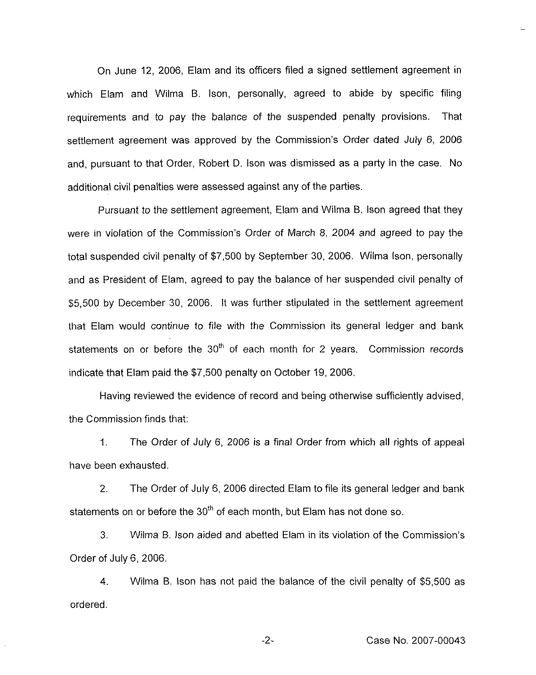On June 12, 2006, Elam and its officers filed a signed settlement agreement in which Elam and Wilma B. Ison, personally, agreed to abide by specific filing requirements and to pay the balance of the suspended penalty provisions. That settlement agreement was approved by the Commission's Order dated July 6, 2006 and, pursuant to that Order, Robert D. Ison was dismissed as a party in the case. No additional civil penalties were assessed against any of the parties.

Pursuant to the settlement agreement, Elam and Wilma B, Ison agreed that they were in violation of the Commission's Order of March 8, 2004 and agreed to pay the total suspended civil penalty of \$7,500 by September 30, 2006. Wilma lson, personally and as President of Elam, agreed to pay the balance of her suspended civil penalty of \$5,500 by December 30, 2006. It was further stipulated in the settlement agreement that Elam would continue to file with the Commission its general ledger and bank statements on or before the  $30<sup>th</sup>$  of each month for 2 years. Commission records indicate that Elam paid the \$7,500 penalty on October 19, 2006,

Having reviewed the evidence of record and being otherwise sufficiently advised, the Commission finds that:

1. The Order of July 6, 2006 is a final Order from which all rights of appeal have been exhausted.

2. The Order of July 6, 2006 directed Elam to file its general ledger and bank statements on or before the  $30<sup>th</sup>$  of each month, but Elam has not done so.

3. Wilma B. Ison aided and abetted Elam in its violation of the Commission's Order of July 6, 2006.

4. Wilma B. Ison has not paid the balance of the civil penalty of \$5,500 as ordered.

 $-2-$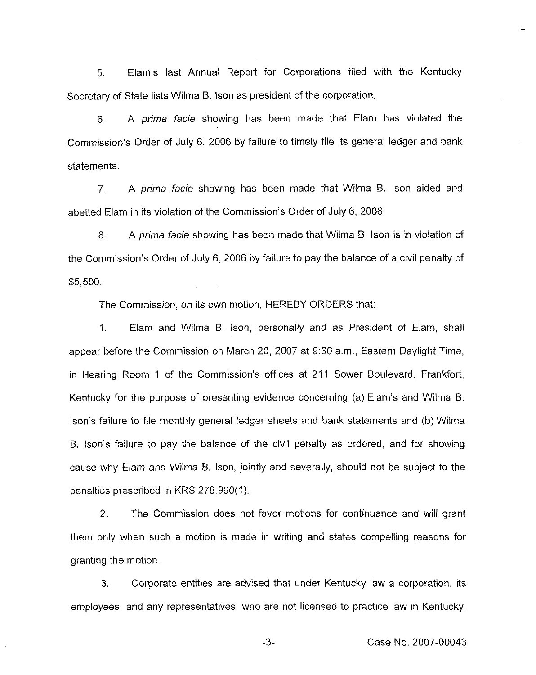5. Elam's last Annual Report for Corporations filed with the Kentucky Secretary of State lists Wilma B. Ison as president of the corporation.

6. A prima facie showing has been made that Elam has violated the Commission's Order of July 6, 2006 by failure to timely file its general ledger and bank statements.

7, A prima facie showing has been made that Wilma B. Ison aided and abetted Elam in its violation of the Commission's Order of July 6, 2006.

8. A prima facie showing has been made that Wilma B. Ison is in violation of the Commission's Order of July 6, 2006 by failure to pay the balance of a civil penalty of \$5,500.

The Commission, on its own motion, HEREBY ORDERS that:

1. Elam and Wilma B, lson, personally and as President of Elam, shall appear before the Commission on March 20, 2007 at 9:30a.m., Eastern Daylight Time, in Hearing Room 1 of the Commission's offices at 211 Sower Boulevard, Frankfort, Kentucky for the purpose of presenting evidence concerning (a) Elam's and Wilma B. Ison's failure to file monthly general ledger sheets and bank statements and (b) Wilma B. Ison's failure to pay the balance of the civil penalty as ordered, and for showing cause why Elam and Wilma B. Ison, jointly and severally, should not be subject to the penalties prescribed in KRS 278.990(1).

2. The Commission does not favor motions for continuance and will grant them only when such a motion is made in writing and states compelling reasons for granting the motion.

3. Corporate entities are advised that under Kentucky law a corporation, its employees, and any representatives, who are not licensed to practice law in Kentucky,

-3- Case No. 2007-00043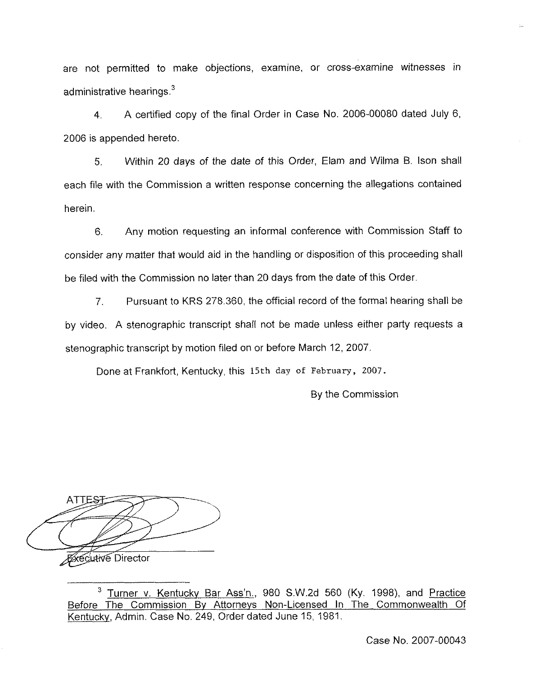are not permitted to make objections, examine, or cross-examine witnesses in administrative hearings.<sup>3</sup>

4. <sup>A</sup> certified copy of the final Order in Case No. 2006-00080 dated July 6, 2006 is appended hereto.

5. Within 20 days of the date of this Order, Elam and Wilma B. Ison shall each file with the Commission a written response concerning the allegations contained herein.

6. Any motion requesting an informal conference with Commission Staff to consider any matter that would aid in the handling or disposition of this proceeding shall be filed with the Commission no later than 20 days from the date of this Order.

7. Pursuant to KRS 278.360, the official record of the formal hearing shall be by video. A stenographic transcript shall not be made unless either party requests a stenographic transcript by motion filed on or before March 12, 2007,

Done at Frankfort, Kentucky, this 15th day of February, 2007.

By the Commission

ATTES **FXECUTIVE Director** 

<sup>&</sup>lt;sup>3</sup> Turner v. Kentucky Bar Ass'n., 980 S.W.2d 560 (Ky. 1998), and Practice Before The Commission Bv Attornevs Non-Licensed In The Commonwealth Of Kentucky, Admin. Case No. 249, Order dated June 15, 1981.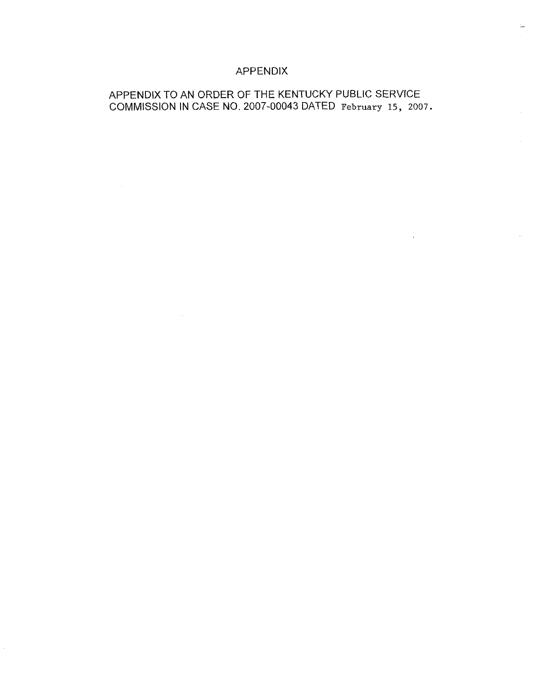# APPENDIX

 $\mathcal{L}(\mathcal{L}^{\text{max}})$  and  $\mathcal{L}^{\text{max}}$ 

 $\mathcal{L}^{\text{max}}_{\text{max}}$ 

# APPENDIX TO AN ORDER OF THE KENTUCKY PUBLIC SERVICE COMMISSION IN CASE NO. 2007-00043 DATED February 15, 2007.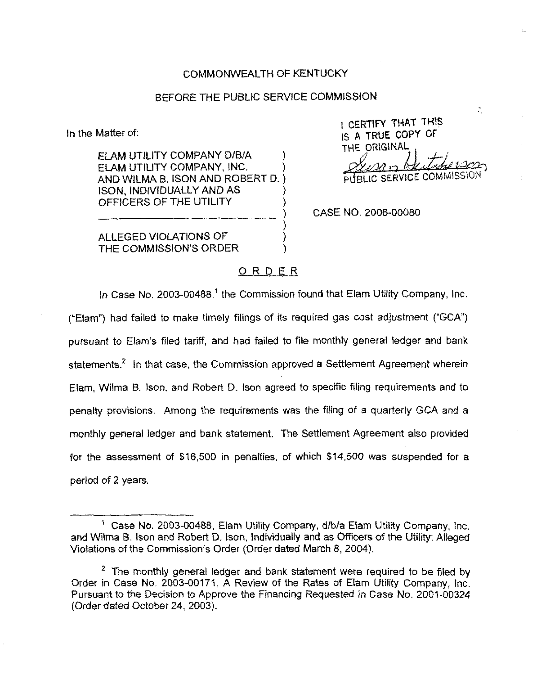#### COMMONWEALTH OF KENTUCKY

#### BEFORE THE PUBLIC SERVICE COMMISSION

ln the Matter of:

ELAM UTILITY COMPANY D/B/A ) ELAM UTILITY COMPANY, INC, ) AND WILMA B. ISON AND ROBERT D. ) ISON, INDIVIDUALLY AND AS ) OFFICERS OF THE UTILITY )

<sup>i</sup> CcRTIFY THAT THIS IS <sup>A</sup> TRUE COPY OF THE ORIGINAL  $J$ -herson **PUBLIC SERVICE COMM!** 

 $\mathcal{L}_{\mathcal{L}}$ 

CASE NO. 2006-00080

ALLEGED VIOLATIONS OF ) THE COMMISSION'S ORDER

## ORDER

) )

In Case No. 2003-00488,<sup>1</sup> the Commission found that Elam Utility Company, Inc. ("Elam") had failed to make timely filings of its required gas cost adjustment ("GCA") pursuant to Eiam's filed tariff, and had failed to file monthly general ledger and bank statements.<sup>2</sup> In that case, the Commission approved a Settlement Agreement wherein Elarn, Wilma B, Ison, and Robert D. Ison agreed to specific filing requirements and to penalty provisions. Among the requirements was the filing of a quarterly GCA and a monthly general ledger and bank statement, The Settlement Agreement also provided for the assessment of \$16,500 in penalties, of which \$14,500 was suspended for a period of 2 years.

 $<sup>1</sup>$  Case No. 2003-00488, Elam Utility Company, d/b/a Elam Utility Company, Inc,</sup> and Wilma B. Ison and Robert D. Ison, Individually and as Officers of the Utility: Alleged Violations of the Commission's Order (Order dated March 8, 2004).

 $2$  The monthly general ledger and bank statement were required to be filed by Order in Case No, 2003-00171, A Review of the Rates of Elam Utility Company, Inc. Pursuant to the Decision to Approve the Financing Requested in Case No. 2001-00324 (Order dated October 24, 2003).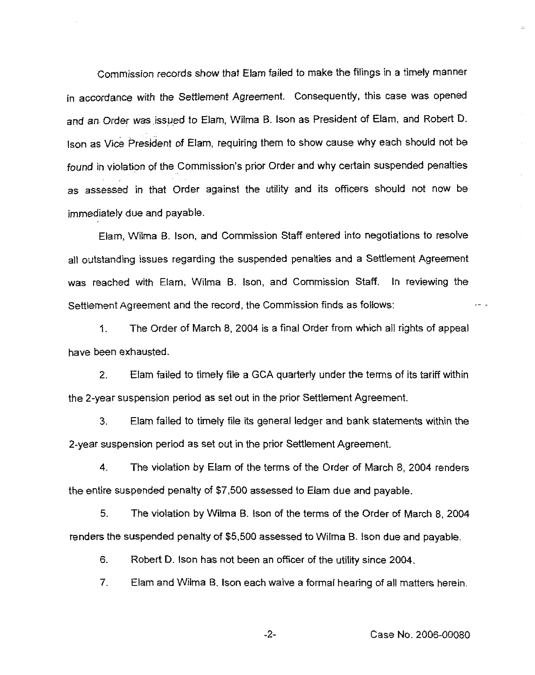Commission records show that Eiam failed to make the filings in a timely manner in accordance with the Settlement Agreement. Consequently, this case was opened and an Order was issued to Elam, Wilma B. Ison as President of Elam, and Robert D Ison as Vice President of Elam, requiring them to show cause why each should not be found in violation of the Commission's prior Order and why certain suspended penalties as assessed in that Order against the utility and its officers should not now be immediately due and payable.

Elam, Wilma B. Ison, and Commission Staff entered into negotiations to resolve all outstanding issues regarding the suspended penalties and a Settlement Agreement was reached with Elam, Wilma B. Ison, and Commission Staff. In reviewing the Settlement Agreement and the record, the Commission finds as foilows:

The Order of March 8, 2004 is a final Order from which all rights of appeal 1. have been exhausted.

2. Elam failed to timely file a GCA quarterly under the terms of its tariff within the 2-year suspension period as set out in the prior Settlement Agreement.

3. Elam failed to timely file its general ledger and bank statements within the 2-year suspension period as set out in the prior Settlement Agreement.

4. The violation by Eiam of the terms of the Order of March 8, 2004 renders the entire suspended penalty of \$7,500 assessed to Elarn due and payable.

5. The violation by Wilma B, Ison of the terms of the Order of March 8, 2004 renders the suspended penalty of \$5,500 assessed to Wilma B. Ison due and payable.

6. Robert D. Ison has not been an officer of the utility since 2Q04.

7. Elam and Wilma B. Ison each waive a format hearing of all matters herein.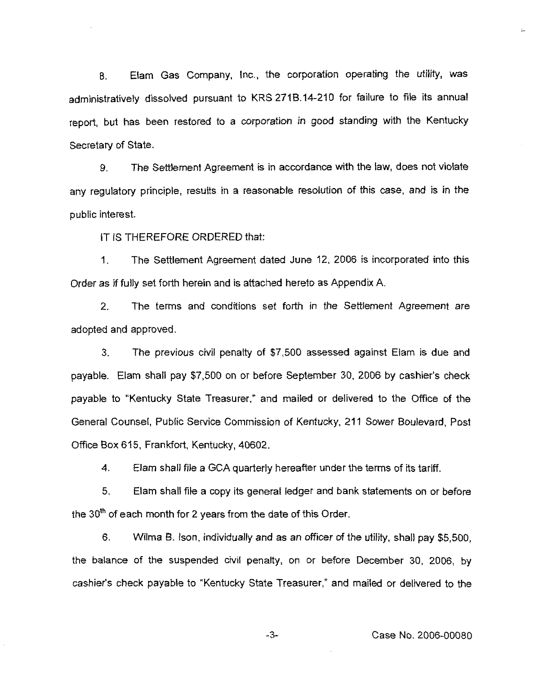8, Elam Gas Company, Inc., the corporation operating the utility, was administratively dissolved pursuant to KRS 271B.14-210 for failure to file its annual report, but has been restored to a corporation in good standing with the Kentucky Secretary of State.

9. The Settiement Agreement is in accordance with the law, does not violate any regulatory principle, resuits in a reasonable resolution of this case, and is in the public interest.

IT IS THEREFORE ORDERED that:

1. The Settlement Agreement dated June 12, 2006 is incorporated into this Order as if fully set forth herein and is attached hereto as Appendix A.

2, The terms and conditions set forth in the Settlement Agreement are adopted and approved.

3, The previous civil penalty of \$7,500 assessed against Elam is due and payable. Elarn shall pay \$7,500 on or before September 30, 2006 by cashier's check payable to "Kentucky State Treasurer," and mailed or delivered to the Office of the General Counsel, Public Service Commission of Kentucky, 211 Sower Boulevard, Post Office Box 615, Frankfort, Kentucky, 40602.

4. Elam shall file a GCA quarterly hereafter under the terms of its tariff.

5. Elam shall file a copy its general iedger and bank statements on or before the  $30<sup>th</sup>$  of each month for 2 years from the date of this Order.

6. Wiima B. Ison, individually and as an officer of the utility, shall pay \$5,500, the balance of the suspended civil penalty, on or before December 30, 2006, by cashier's check payable to "Kentucky State Treasurer," and mailed or delivered to the

-3-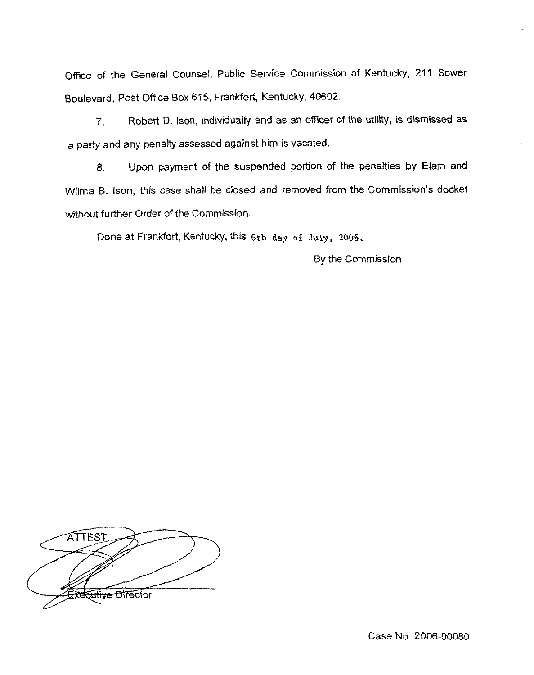Office of the General Counsel, Public Service Commission of Kentucky, 211 Sower Boulevard. Post Office Box 615, Frankfort, Kentucky, 40602,

7, Robert D.!son, individuaily and as an officer of the utility, is dismissed as a party and any penalty assessed against him is vacated.

8. Upon payment of the suspended portion of the penalties by Elam and Vyilrna B. lson, this case shall be ciosed and removed from the Commission's docket without further Order of the Commission.

Done at Frankfort, Kentucky, this 6th day of July, 2006.

By the Commission

ATTEST <del>iftive D</del>ifector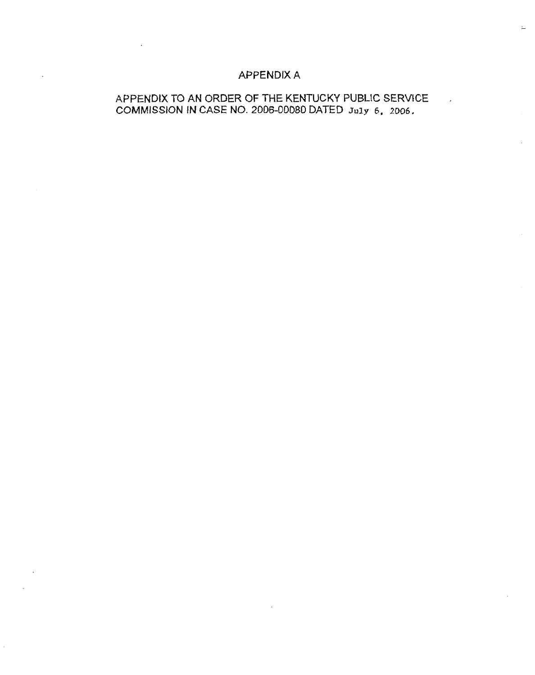# APPENDIX A

# APPENDIX TO AN ORDER OF THE KENTUCKY PUBLIC SERVICE COMMISSION IN CASE NO. 2006-00080 DATED July 6, 2006.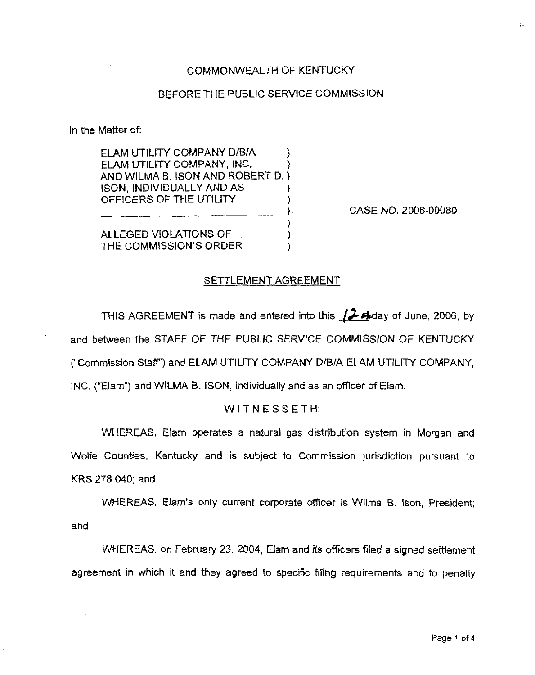## COMMONWEALTH OF KENTUCKY

## BEFORE THE PUBLIC SERVICE COMMISSION

In the Matter of:

ELAM UTILITY COMPANY D/B/A  $\rightarrow$ ELAM UTILITY COMPANY, iNC. ) AND WILMA B. ISON AND ROBERT D. ) !SON, INDIVIDUALLY AND AS ) OFFICERS OF THE UTILITY

CASE NO. 2006-00080

ALLEGED VIOLATIONS OF THE COMMISSION'S ORDER

#### SETTLEMENT AGREEMENT

) )

THIS AGREEMENT is made and entered into this  $/$ . Aday of June, 2006, by and between the STAFF OF THE PUBLIC SERVICE COMMISSION OF KENTUCKY ("Commission Staff") and ELAM UTILITY COMPANY D/B/A ELAM UTILITY COMPANY, INC. ("Elam") and WILMA B. ISON, individually and as an officer of Elam.

#### WITNESSETH:

WHEREAS, Elam operates a natural gas distribution system in Morgan and Wolfe Counties, Kentucky and is subject to Commission jurisdiction pursuant to KRS 278.040; and

WHEREAS, Elam's only current corporate officer is Wilma B. Ison, President; and

WHEREAS, on February 23, 2004, Eiam and its officers filed a signed settlement agreement in which it and they agreed to specific filing requirements and to penalty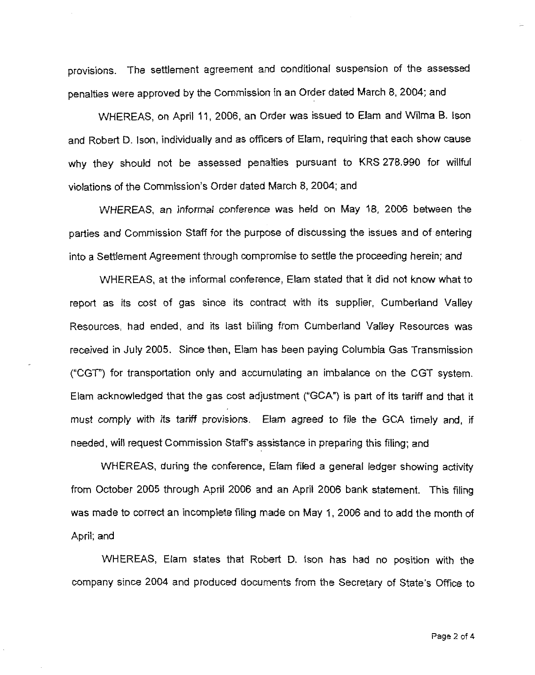provisions. The settlement agreement and conditional suspension of the assessed penalties were approved by the Commission in an Order dated March 8, 2004; and

WHEREAS, on April 11, 2006, an Order was issued to Elam and Wilma B. Ison and Robert D. Ison, individually and as officers of Elam, requiring that each show cause why they should not be assessed penalties pursuant to KRS 278.990 for willful violations of the Commission's Order dated March 8, 2004; and

WHEREAS, an informal conference was held on May 18, 2006 between the parties and Commission Staff for the purpose of discussing the issues and of entering into a Settlement Agreement through compromise to settle the proceeding herein; and

WHEREAS, at the informal conference, Elarn stated that it did not know what to report as its cost of gas since its contract with its supplier, Cumberland Valley Resources, had ended, and its last billing from Cumberland Valley Resources was received in July 2005. Since then, Eiam has been paying Columbia Gas Transmission ("CGT"} for transportation only and accumulating an imbalance on the CGT system. Elam acknowledged that the gas cost adjustment ("GCA"} is part of its tariff and that it must comply with its tariff provisions. Elarn agreed to file the GCA timely and, if needed, will request Commission Staff's assistance in preparing this filing; and

WHEREAS, during the ccnference, Elam fiied a general ledger showing activity from October 2005 through April 2006 and an April 2006 bank statement. This filing was made to correct an incompiete filing made on May 1, 2006 and to add the month of April; and

WHEREAS, Elam states that Robert D. ison has had no position with the company since 2004 and produced documents from the Secretary of State's Office to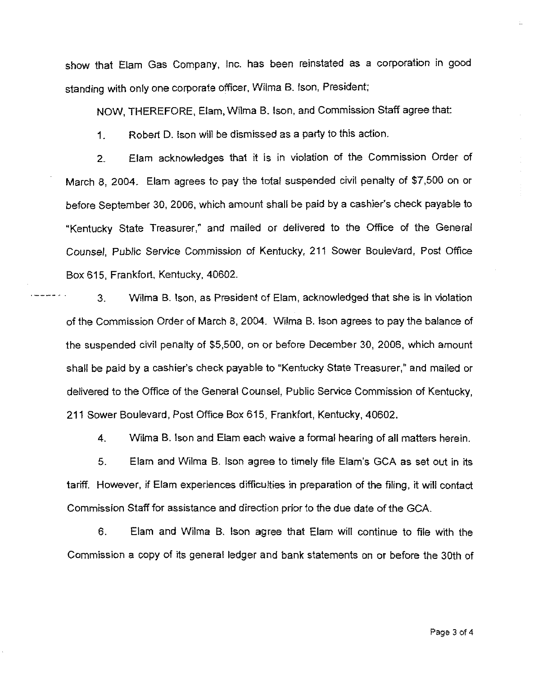show that Elam Gas Company, Inc. has been reinstated as a corporation in good standing with only one corporate officer, Wilma B. Ison, President;

NOW, THEREFORE, Elam, Wilrna B. Ison, and Commission Staff agree that:

1. Robert D. Ison will be dismissed as a party to this action.

2. Elam acknowledges that it is in violation of the Commission Order of March 8, 2004. Elam agrees to pay the total suspended civil penalty of \$7,500 on or before September 30, 2006, which amount shall be paid by a cashier's check payable to "Kentucky State Treasurer," and mailed or delivered to the Office of the General Counsel, Public Service Commission of Kentucky, 211 Sower Boulevard, Post Office Box 615, Frankfort, Kentucky, 40602.

3. Wilma B.!son, as President of Elam, acknowledged that she is in violation of the Commission Order of March 8, 2004. Nfilma B. Ison agrees to pay the balance of the suspended civil penalty of \$5,500, on or before December 30, 2006, which amount shall be paid by a cashier's check payable to \*'Kentucky State Treasurer," and mailed or delivered to the Office of the General Counsel, Public Senrice Commission of Kentucky, 211 Sower Boulevard, Post Office Box 615, Frankfort, Kentucky, 40602.

4. Wilma B. Ison and Eiam each waive a forrnal hearing of all matters herein.

5, Elam and Wilma B. Ison agree to timely file Elam's GCA as set out in its tariff. However, if Elam experiences difficulties in preparation of the filing, it will contact Commission Staff for assistance and direction prior to the due date of the GCA.

6. Elam and Wilma B. Ison agree that Elam will continue to file with the Commission a copy of its general ledger and bank statements on or before the 30th of